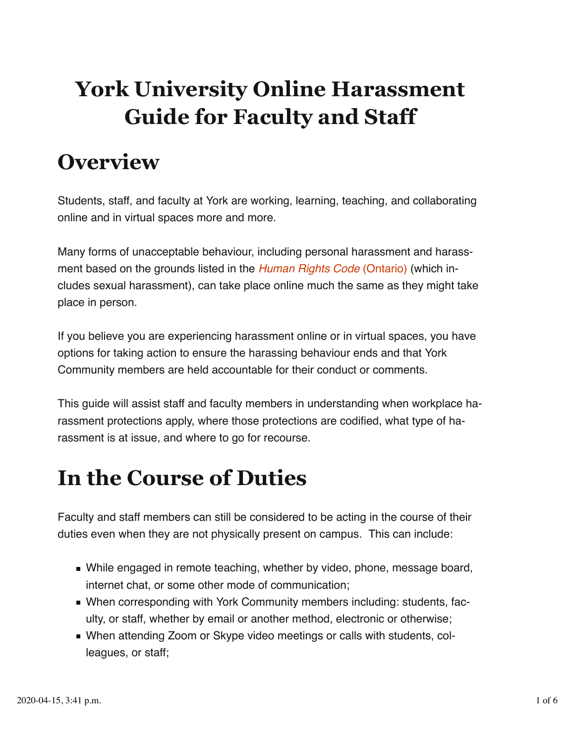# **York University Online Harassment Guide for Faculty and Staff**

# **Overview**

Students, staff, and faculty at York are working, learning, teaching, and collaborating online and in virtual spaces more and more.

Many forms of unacceptable behaviour, including personal harassment and harass‐ ment based on the grounds listed in the *Human Rights Code* (Ontario) (which in‐ cludes sexual harassment), can take place online much the same as they might take place in person.

If you believe you are experiencing harassment online or in virtual spaces, you have options for taking action to ensure the harassing behaviour ends and that York Community members are held accountable for their conduct or comments.

This guide will assist staff and faculty members in understanding when workplace ha‐ rassment protections apply, where those protections are codified, what type of ha‐ rassment is at issue, and where to go for recourse.

# **In the Course of Duties**

Faculty and staff members can still be considered to be acting in the course of their duties even when they are not physically present on campus. This can include:

- While engaged in remote teaching, whether by video, phone, message board, internet chat, or some other mode of communication;
- When corresponding with York Community members including: students, faculty, or staff, whether by email or another method, electronic or otherwise;
- When attending Zoom or Skype video meetings or calls with students, colleagues, or staff;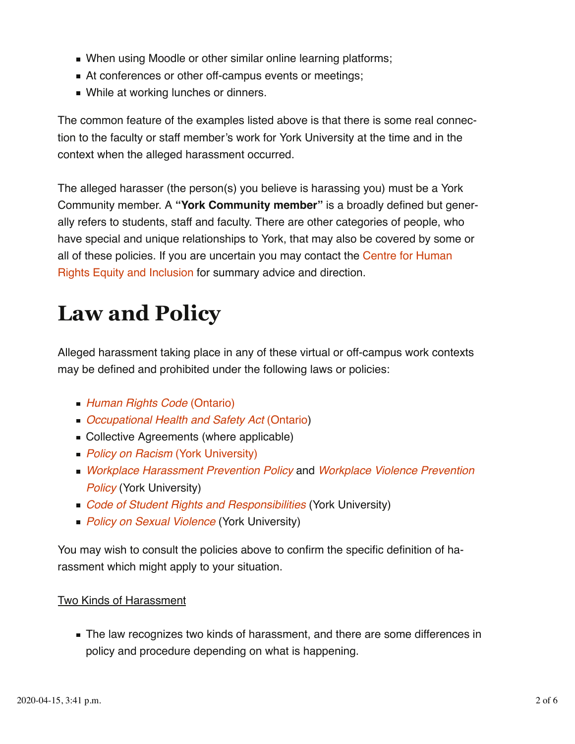- When using Moodle or other similar online learning platforms;
- At conferences or other off-campus events or meetings;
- **Nhile at working lunches or dinners.**

The common feature of the examples listed above is that there is some real connec‐ tion to the faculty or staff member's work for York University at the time and in the context when the alleged harassment occurred.

The alleged harasser (the person(s) you believe is harassing you) must be a York Community member. A **"York Community member"** is a broadly defined but gener‐ ally refers to students, staff and faculty. There are other categories of people, who have special and unique relationships to York, that may also be covered by some or all of these policies. If you are uncertain you may contact the Centre for Human Rights Equity and Inclusion for summary advice and direction.

# **Law and Policy**

Alleged harassment taking place in any of these virtual or off-campus work contexts may be defined and prohibited under the following laws or policies:

- *Human Rights Code* (Ontario)
- *Occupational Health and Safety Act* (Ontario)
- Collective Agreements (where applicable)
- *Policy on Racism* (York University)
- *Workplace Harassment Prevention Policy* and *Workplace Violence Prevention Policy* (York University)
- *Code of Student Rights and Responsibilities* (York University)
- **Policy on Sexual Violence (York University)**

You may wish to consult the policies above to confirm the specific definition of ha‐ rassment which might apply to your situation.

#### Two Kinds of Harassment

The law recognizes two kinds of harassment, and there are some differences in policy and procedure depending on what is happening.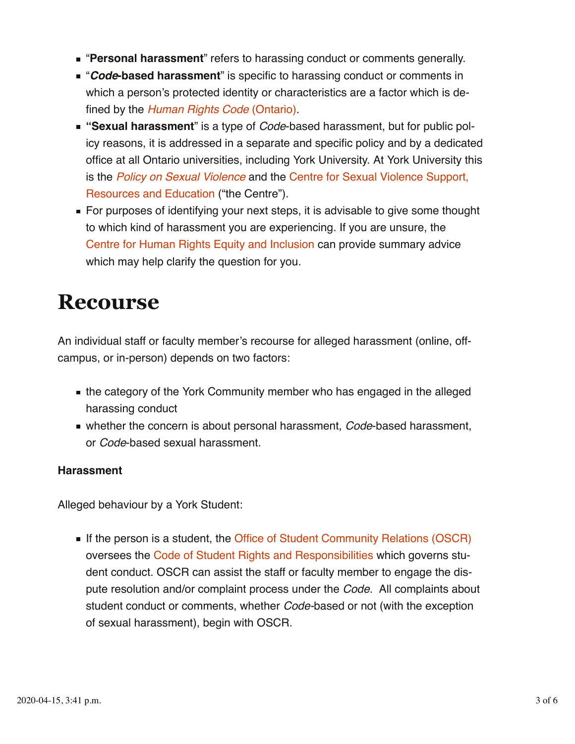- "**Personal harassment**" refers to harassing conduct or comments generally.
- "*Code***-based harassment**" is specific to harassing conduct or comments in which a person's protected identity or characteristics are a factor which is de‐ fined by the *Human Rights Code* (Ontario).
- "**Sexual harassment**" is a type of *Code*-based harassment, but for public policy reasons, it is addressed in a separate and specific policy and by a dedicated office at all Ontario universities, including York University. At York University this is the *Policy on Sexual Violence* and the Centre for Sexual Violence Support, Resources and Education ("the Centre").
- For purposes of identifying your next steps, it is advisable to give some thought to which kind of harassment you are experiencing. If you are unsure, the Centre for Human Rights Equity and Inclusion can provide summary advice which may help clarify the question for you.

### **Recourse**

An individual staff or faculty member's recourse for alleged harassment (online, offcampus, or in-person) depends on two factors:

- the category of the York Community member who has engaged in the alleged harassing conduct
- whether the concern is about personal harassment, *Code*-based harassment, or *Code*-based sexual harassment.

#### **Harassment**

Alleged behaviour by a York Student:

If the person is a student, the Office of Student Community Relations (OSCR) oversees the Code of Student Rights and Responsibilities which governs stu‐ dent conduct. OSCR can assist the staff or faculty member to engage the dis‐ pute resolution and/or complaint process under the *Code*. All complaints about student conduct or comments, whether *Code-*based or not (with the exception of sexual harassment), begin with OSCR.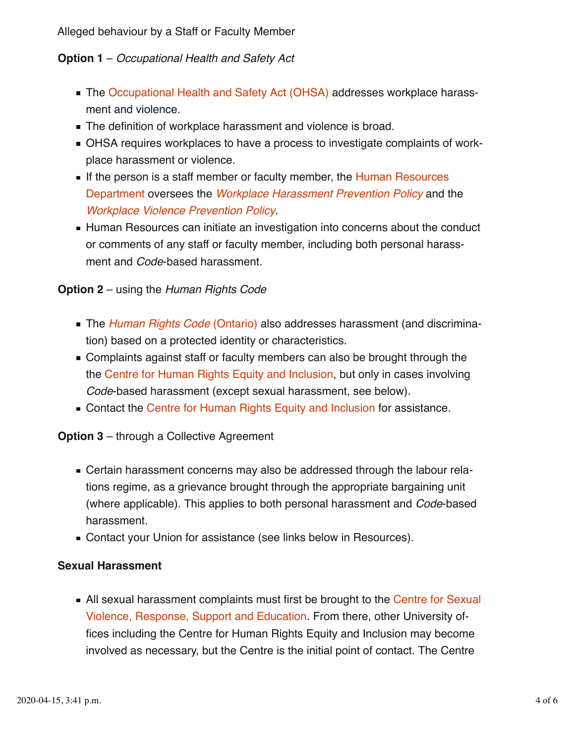Alleged behaviour by a Staff or Faculty Member

### **Option 1** – *Occupational Health and Safety Act*

- The Occupational Health and Safety Act (OHSA) addresses workplace harassment and violence.
- The definition of workplace harassment and violence is broad.
- OHSA requires workplaces to have a process to investigate complaints of workplace harassment or violence.
- If the person is a staff member or faculty member, the Human Resources Department oversees the *Workplace Harassment Prevention Policy* and the *Workplace Violence Prevention Policy*.
- Human Resources can initiate an investigation into concerns about the conduct or comments of any staff or faculty member, including both personal harass‐ ment and *Code*-based harassment.

#### **Option 2** – using the *Human Rights Code*

- The *Human Rights Code* (Ontario) also addresses harassment (and discrimination) based on a protected identity or characteristics.
- Complaints against staff or faculty members can also be brought through the the Centre for Human Rights Equity and Inclusion, but only in cases involving *Code*-based harassment (except sexual harassment, see below).
- Contact the Centre for Human Rights Equity and Inclusion for assistance.

#### **Option 3** – through a Collective Agreement

- Certain harassment concerns may also be addressed through the labour relations regime, as a grievance brought through the appropriate bargaining unit (where applicable). This applies to both personal harassment and *Code*-based harassment.
- Contact your Union for assistance (see links below in Resources).

#### **Sexual Harassment**

All sexual harassment complaints must first be brought to the Centre for Sexual Violence, Response, Support and Education. From there, other University of‐ fices including the Centre for Human Rights Equity and Inclusion may become involved as necessary, but the Centre is the initial point of contact. The Centre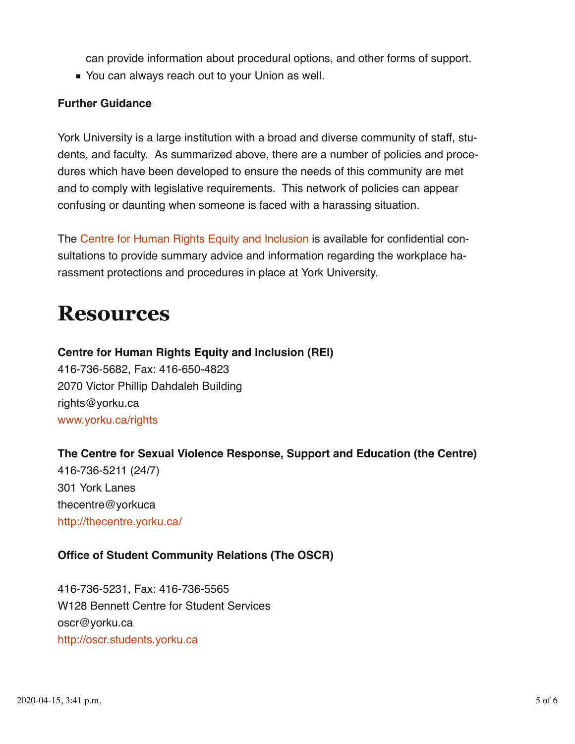can provide information about procedural options, and other forms of support.

■ You can always reach out to your Union as well.

### **Further Guidance**

York University is a large institution with a broad and diverse community of staff, students, and faculty. As summarized above, there are a number of policies and proce‐ dures which have been developed to ensure the needs of this community are met and to comply with legislative requirements. This network of policies can appear confusing or daunting when someone is faced with a harassing situation.

The Centre for Human Rights Equity and Inclusion is available for confidential con‐ sultations to provide summary advice and information regarding the workplace harassment protections and procedures in place at York University.

## **Resources**

**Centre for Human Rights Equity and Inclusion (REI)** 416-736-5682, Fax: 416-650-4823 2070 Victor Phillip Dahdaleh Building rights@yorku.ca www.yorku.ca/rights

**The Centre for Sexual Violence Response, Support and Education (the Centre)**

416-736-5211 (24/7) 301 York Lanes thecentre@yorkuca http://thecentre.yorku.ca/

### **Office of Student Community Relations (The OSCR)**

416-736-5231, Fax: 416-736-5565 W128 Bennett Centre for Student Services oscr@yorku.ca http://oscr.students.yorku.ca